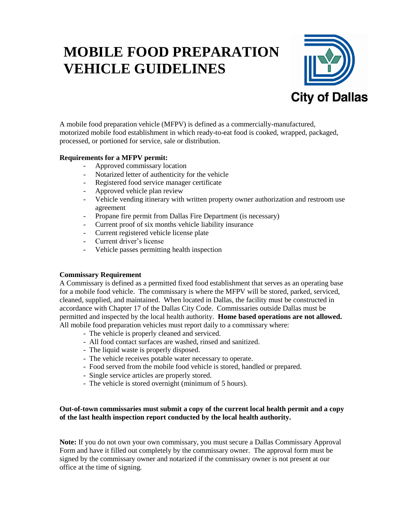# **MOBILE FOOD PREPARATION VEHICLE GUIDELINES**



A mobile food preparation vehicle (MFPV) is defined as a commercially-manufactured, motorized mobile food establishment in which ready-to-eat food is cooked, wrapped, packaged, processed, or portioned for service, sale or distribution.

# **Requirements for a MFPV permit:**

- Approved commissary location
- Notarized letter of authenticity for the vehicle
- Registered food service manager certificate
- Approved vehicle plan review
- Vehicle vending itinerary with written property owner authorization and restroom use agreement
- Propane fire permit from Dallas Fire Department (is necessary)
- Current proof of six months vehicle liability insurance
- Current registered vehicle license plate
- Current driver's license
- Vehicle passes permitting health inspection

#### **Commissary Requirement**

A Commissary is defined as a permitted fixed food establishment that serves as an operating base for a mobile food vehicle. The commissary is where the MFPV will be stored, parked, serviced, cleaned, supplied, and maintained. When located in Dallas, the facility must be constructed in accordance with Chapter 17 of the Dallas City Code. Commissaries outside Dallas must be permitted and inspected by the local health authority. **Home based operations are not allowed.**  All mobile food preparation vehicles must report daily to a commissary where:

- The vehicle is properly cleaned and serviced.
- All food contact surfaces are washed, rinsed and sanitized.
- The liquid waste is properly disposed.
- The vehicle receives potable water necessary to operate.
- Food served from the mobile food vehicle is stored, handled or prepared.
- Single service articles are properly stored.
- The vehicle is stored overnight (minimum of 5 hours).

# **Out-of-town commissaries must submit a copy of the current local health permit and a copy of the last health inspection report conducted by the local health authority.**

**Note:** If you do not own your own commissary, you must secure a Dallas Commissary Approval Form and have it filled out completely by the commissary owner. The approval form must be signed by the commissary owner and notarized if the commissary owner is not present at our office at the time of signing.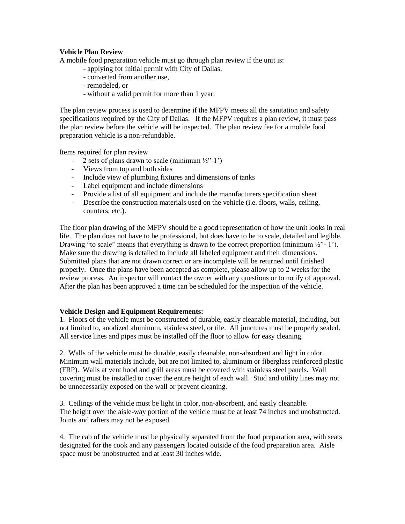### **Vehicle Plan Review**

A mobile food preparation vehicle must go through plan review if the unit is:

- applying for initial permit with City of Dallas,
- converted from another use,
- remodeled, or
- without a valid permit for more than 1 year.

The plan review process is used to determine if the MFPV meets all the sanitation and safety specifications required by the City of Dallas. If the MFPV requires a plan review, it must pass the plan review before the vehicle will be inspected. The plan review fee for a mobile food preparation vehicle is a non-refundable.

Items required for plan review

- 2 sets of plans drawn to scale (minimum  $\frac{1}{2}$ "-1")
- Views from top and both sides
- Include view of plumbing fixtures and dimensions of tanks
- Label equipment and include dimensions
- Provide a list of all equipment and include the manufacturers specification sheet
- Describe the construction materials used on the vehicle (i.e. floors, walls, ceiling, counters, etc.).

The floor plan drawing of the MFPV should be a good representation of how the unit looks in real life. The plan does not have to be professional, but does have to be to scale, detailed and legible. Drawing "to scale" means that everything is drawn to the correct proportion (minimum  $\frac{1}{2}$ "-1"). Make sure the drawing is detailed to include all labeled equipment and their dimensions. Submitted plans that are not drawn correct or are incomplete will be returned until finished properly. Once the plans have been accepted as complete, please allow up to 2 weeks for the review process. An inspector will contact the owner with any questions or to notify of approval. After the plan has been approved a time can be scheduled for the inspection of the vehicle.

#### **Vehicle Design and Equipment Requirements:**

1. Floors of the vehicle must be constructed of durable, easily cleanable material, including, but not limited to, anodized aluminum, stainless steel, or tile. All junctures must be properly sealed. All service lines and pipes must be installed off the floor to allow for easy cleaning.

2. Walls of the vehicle must be durable, easily cleanable, non-absorbent and light in color. Minimum wall materials include, but are not limited to, aluminum or fiberglass reinforced plastic (FRP). Walls at vent hood and grill areas must be covered with stainless steel panels. Wall covering must be installed to cover the entire height of each wall. Stud and utility lines may not be unnecessarily exposed on the wall or prevent cleaning.

3. Ceilings of the vehicle must be light in color, non-absorbent, and easily cleanable. The height over the aisle-way portion of the vehicle must be at least 74 inches and unobstructed. Joints and rafters may not be exposed.

4. The cab of the vehicle must be physically separated from the food preparation area, with seats designated for the cook and any passengers located outside of the food preparation area. Aisle space must be unobstructed and at least 30 inches wide.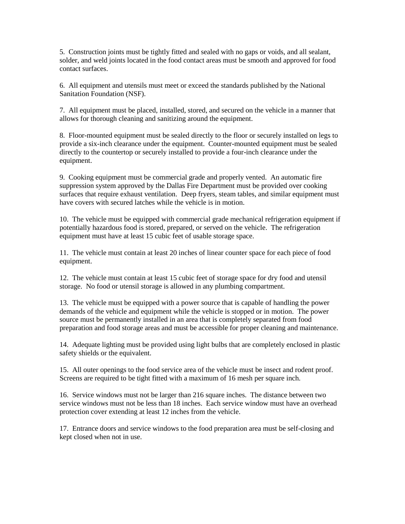5. Construction joints must be tightly fitted and sealed with no gaps or voids, and all sealant, solder, and weld joints located in the food contact areas must be smooth and approved for food contact surfaces.

6. All equipment and utensils must meet or exceed the standards published by the National Sanitation Foundation (NSF).

7. All equipment must be placed, installed, stored, and secured on the vehicle in a manner that allows for thorough cleaning and sanitizing around the equipment.

8. Floor-mounted equipment must be sealed directly to the floor or securely installed on legs to provide a six-inch clearance under the equipment. Counter-mounted equipment must be sealed directly to the countertop or securely installed to provide a four-inch clearance under the equipment.

9. Cooking equipment must be commercial grade and properly vented. An automatic fire suppression system approved by the Dallas Fire Department must be provided over cooking surfaces that require exhaust ventilation. Deep fryers, steam tables, and similar equipment must have covers with secured latches while the vehicle is in motion.

10. The vehicle must be equipped with commercial grade mechanical refrigeration equipment if potentially hazardous food is stored, prepared, or served on the vehicle. The refrigeration equipment must have at least 15 cubic feet of usable storage space.

11. The vehicle must contain at least 20 inches of linear counter space for each piece of food equipment.

12. The vehicle must contain at least 15 cubic feet of storage space for dry food and utensil storage. No food or utensil storage is allowed in any plumbing compartment.

13. The vehicle must be equipped with a power source that is capable of handling the power demands of the vehicle and equipment while the vehicle is stopped or in motion. The power source must be permanently installed in an area that is completely separated from food preparation and food storage areas and must be accessible for proper cleaning and maintenance.

14. Adequate lighting must be provided using light bulbs that are completely enclosed in plastic safety shields or the equivalent.

15. All outer openings to the food service area of the vehicle must be insect and rodent proof. Screens are required to be tight fitted with a maximum of 16 mesh per square inch.

16. Service windows must not be larger than 216 square inches. The distance between two service windows must not be less than 18 inches. Each service window must have an overhead protection cover extending at least 12 inches from the vehicle.

17. Entrance doors and service windows to the food preparation area must be self-closing and kept closed when not in use.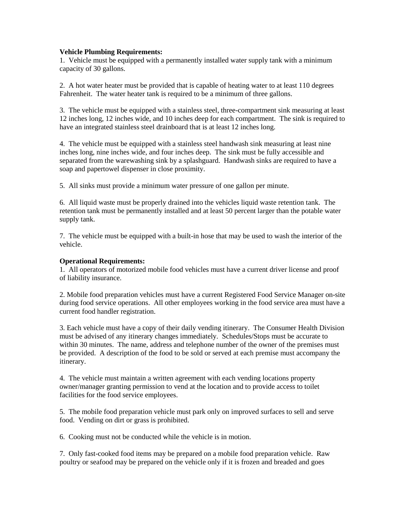#### **Vehicle Plumbing Requirements:**

1. Vehicle must be equipped with a permanently installed water supply tank with a minimum capacity of 30 gallons.

2. A hot water heater must be provided that is capable of heating water to at least 110 degrees Fahrenheit. The water heater tank is required to be a minimum of three gallons.

3. The vehicle must be equipped with a stainless steel, three-compartment sink measuring at least 12 inches long, 12 inches wide, and 10 inches deep for each compartment. The sink is required to have an integrated stainless steel drainboard that is at least 12 inches long.

4. The vehicle must be equipped with a stainless steel handwash sink measuring at least nine inches long, nine inches wide, and four inches deep. The sink must be fully accessible and separated from the warewashing sink by a splashguard. Handwash sinks are required to have a soap and papertowel dispenser in close proximity.

5. All sinks must provide a minimum water pressure of one gallon per minute.

6. All liquid waste must be properly drained into the vehicles liquid waste retention tank. The retention tank must be permanently installed and at least 50 percent larger than the potable water supply tank.

7. The vehicle must be equipped with a built-in hose that may be used to wash the interior of the vehicle.

#### **Operational Requirements:**

1. All operators of motorized mobile food vehicles must have a current driver license and proof of liability insurance.

2. Mobile food preparation vehicles must have a current Registered Food Service Manager on-site during food service operations. All other employees working in the food service area must have a current food handler registration.

3. Each vehicle must have a copy of their daily vending itinerary. The Consumer Health Division must be advised of any itinerary changes immediately. Schedules/Stops must be accurate to within 30 minutes. The name, address and telephone number of the owner of the premises must be provided. A description of the food to be sold or served at each premise must accompany the itinerary.

4. The vehicle must maintain a written agreement with each vending locations property owner/manager granting permission to vend at the location and to provide access to toilet facilities for the food service employees.

5. The mobile food preparation vehicle must park only on improved surfaces to sell and serve food. Vending on dirt or grass is prohibited.

6. Cooking must not be conducted while the vehicle is in motion.

7. Only fast-cooked food items may be prepared on a mobile food preparation vehicle. Raw poultry or seafood may be prepared on the vehicle only if it is frozen and breaded and goes